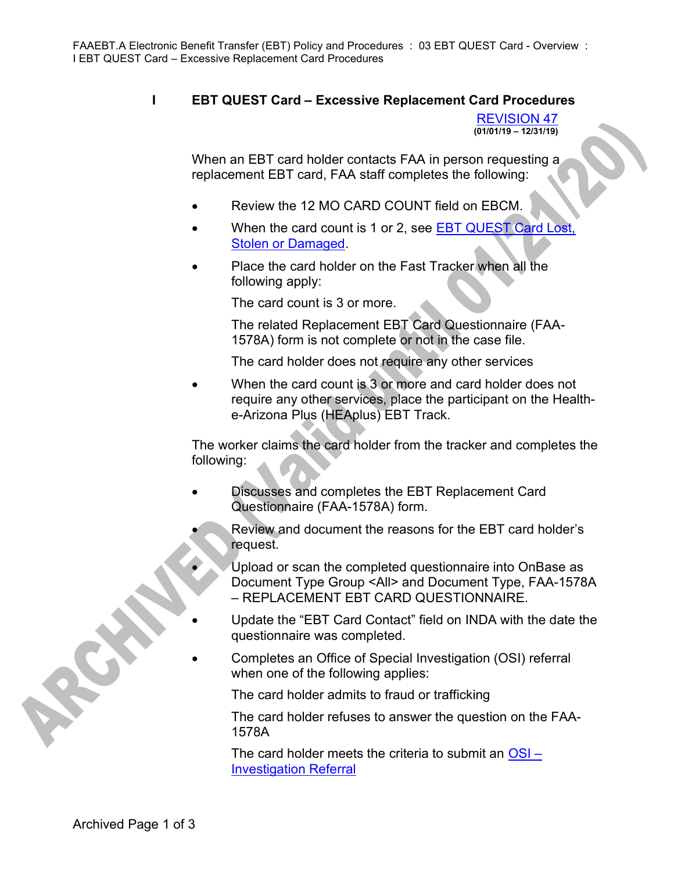## I EBT QUEST Card – Excessive Replacement Card Procedures

REVISION 47  $(01/01/19 - 12/31/19)$ 

When an EBT card holder contacts FAA in person requesting a replacement EBT card, FAA staff completes the following:

- Review the 12 MO CARD COUNT field on EBCM.
- When the card count is 1 or 2, see EBT QUEST Card Lost, Stolen or Damaged.
- Place the card holder on the Fast Tracker when all the following apply:

The card count is 3 or more.

The related Replacement EBT Card Questionnaire (FAA-1578A) form is not complete or not in the case file.

The card holder does not require any other services

 When the card count is 3 or more and card holder does not require any other services, place the participant on the Healthe-Arizona Plus (HEAplus) EBT Track.

The worker claims the card holder from the tracker and completes the following:

- Discusses and completes the EBT Replacement Card Questionnaire (FAA-1578A) form.
	- Review and document the reasons for the EBT card holder's request.
		- Upload or scan the completed questionnaire into OnBase as Document Type Group <All> and Document Type, FAA-1578A – REPLACEMENT EBT CARD QUESTIONNAIRE.
	- Update the "EBT Card Contact" field on INDA with the date the questionnaire was completed.
- Completes an Office of Special Investigation (OSI) referral when one of the following applies:

The card holder admits to fraud or trafficking

The card holder refuses to answer the question on the FAA-1578A

The card holder meets the criteria to submit an  $OSI -$ Investigation Referral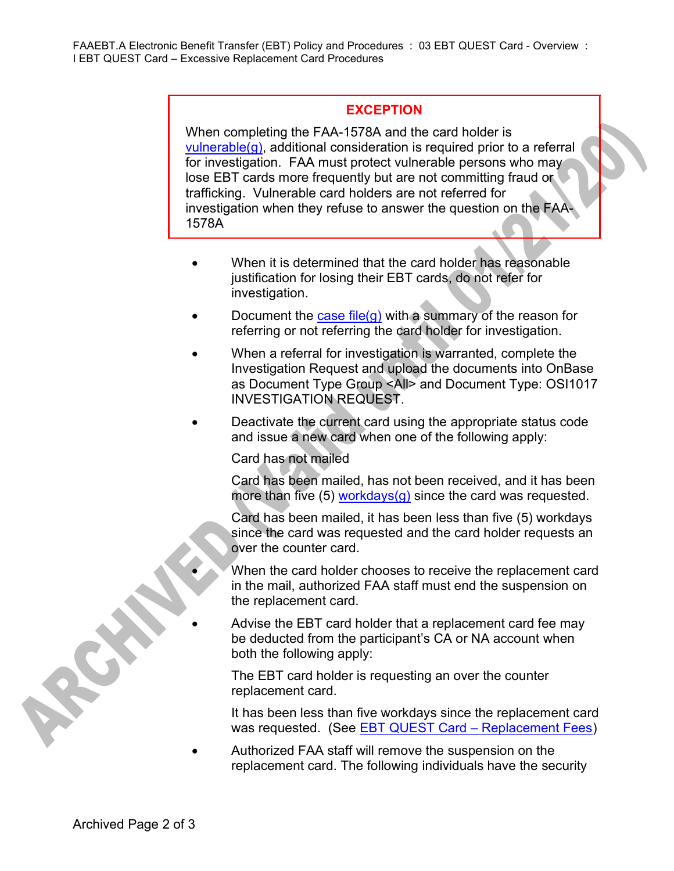## **EXCEPTION**

When completing the FAA-1578A and the card holder is vulnerable(g), additional consideration is required prior to a referral for investigation. FAA must protect vulnerable persons who may lose EBT cards more frequently but are not committing fraud or trafficking. Vulnerable card holders are not referred for investigation when they refuse to answer the question on the FAA-1578A

- When it is determined that the card holder has reasonable justification for losing their EBT cards, do not refer for investigation.
- Document the case file(g) with a summary of the reason for referring or not referring the card holder for investigation.
- When a referral for investigation is warranted, complete the Investigation Request and upload the documents into OnBase as Document Type Group <All> and Document Type: OSI1017 INVESTIGATION REQUEST.
- Deactivate the current card using the appropriate status code and issue a new card when one of the following apply:

Card has not mailed

Card has been mailed, has not been received, and it has been more than five (5) workdays(g) since the card was requested.

Card has been mailed, it has been less than five (5) workdays since the card was requested and the card holder requests an over the counter card.

 When the card holder chooses to receive the replacement card in the mail, authorized FAA staff must end the suspension on the replacement card.

 Advise the EBT card holder that a replacement card fee may be deducted from the participant's CA or NA account when both the following apply:

The EBT card holder is requesting an over the counter replacement card.

It has been less than five workdays since the replacement card was requested. (See EBT QUEST Card – Replacement Fees)

 Authorized FAA staff will remove the suspension on the replacement card. The following individuals have the security